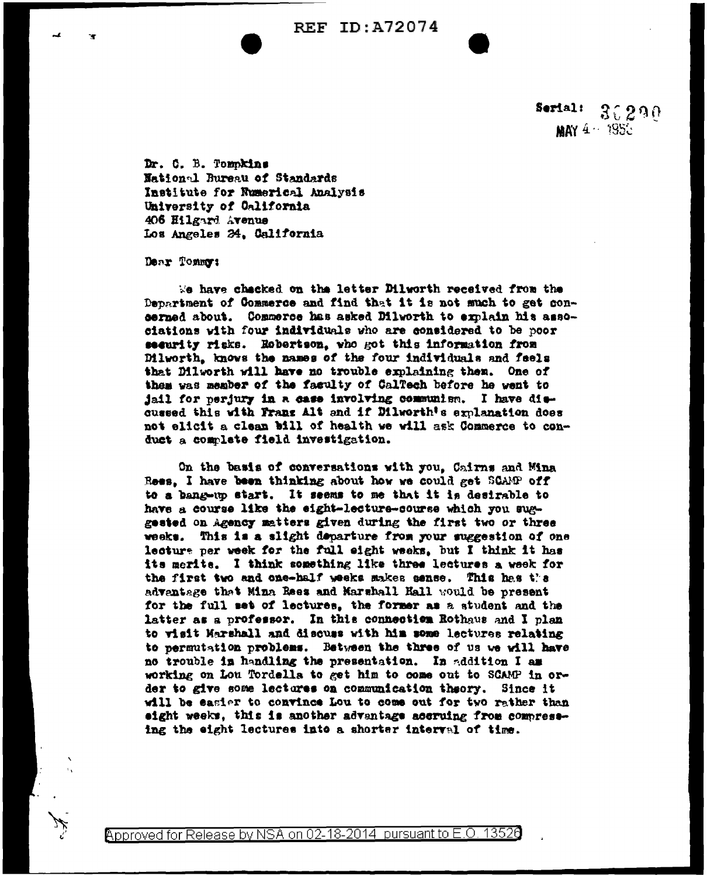**REF ID: A72074** 

Serial:  $30290$ MAY 4 . 1953

Dr. C. B. Tomokins National Bureau of Standards Institute for Numerical Analysis University of California 406 Hilgard Avenue Los Angeles 24, California

Dear Tommut

We have checked on the letter Dilworth received from the Department of Commerce and find that it is not much to get concerned about. Commerce has asked Dilworth to explain his associations with four individuals who are considered to be poor security risks. Rebertson, who got this information from Dilworth, knows the names of the four individuals and feels that Dilworth will have no trouble explaining them. One of them was member of the faculty of CalTech before he went to jail for perjury in a case involving communism. I have discussed this with Frans Alt and if Dilworth's explanation does not elicit a clean bill of health we will ask Commerce to conduct a complete field investigation.

On the basis of conversations with you, Cairns and Mina Rees. I have been thinking about how we could get SCAMP off to a bang-up start. It seems to me that it is desirable to have a course like the eight-lecture-course which you suggested on Agency matters given during the first two or three weeks. This is a slight departure from your suggestion of one lecture per week for the full eight weeks, but I think it has its merits. I think something like three lectures a week for the first two and one-half weeks makes sense. This has the adventage that Mina Rees and Marshall Hall would be present for the full set of lectures, the former as a student and the latter as a professor. In this connection Rothaus and I plan to visit Marshall and discuss with him some lectures relating to permutation problems. Between the three of us we will have no trouble in handling the presentation. In addition I am working on Lou Tordells to get him to come out to SCAMP in order to give some lectures on communication theory. Since it will be easier to convince Lou to come out for two rather than eight weeks, this is another adventage accruing from compressing the eight lectures into a shorter interval of time.